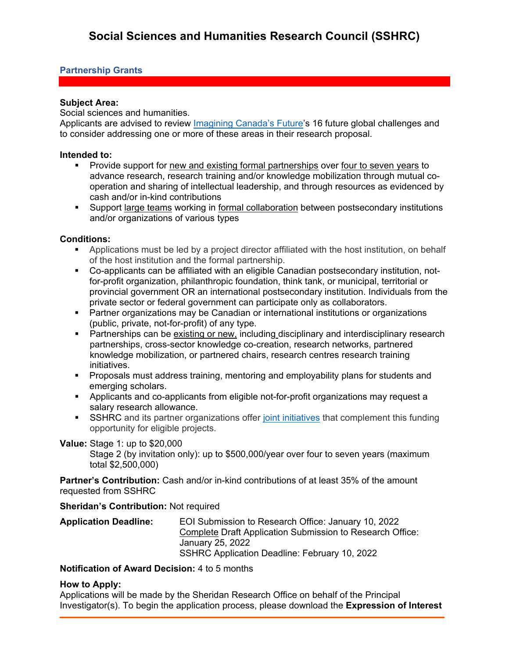## **Partnership Grants**

### **Subject Area:**

Social sciences and humanities.

Applicants are advised to review *Imagining Canada's Future's* 16 future global challenges and to consider addressing one or more of these areas in their research proposal.

#### **Intended to:**

- Provide support for new and existing formal partnerships over four to seven years to advance research, research training and/or knowledge mobilization through mutual cooperation and sharing of intellectual leadership, and through resources as evidenced by cash and/or in-kind contributions
- Support large teams working in formal collaboration between postsecondary institutions and/or organizations of various types

### **Conditions:**

- Applications must be led by a project director affiliated with the host institution, on behalf of the host institution and the formal partnership.
- Co-applicants can be affiliated with an eligible Canadian postsecondary institution, notfor-profit organization, philanthropic foundation, think tank, or municipal, territorial or provincial government OR an international postsecondary institution. Individuals from the private sector or federal government can participate only as collaborators.
- Partner organizations may be Canadian or international institutions or organizations (public, private, not-for-profit) of any type.
- **Partnerships can be existing or new, including disciplinary and interdisciplinary research** partnerships, cross-sector knowledge co-creation, research networks, partnered knowledge mobilization, or partnered chairs, research centres research training initiatives.
- Proposals must address training, mentoring and employability plans for students and emerging scholars.
- Applicants and co-applicants from eligible not-for-profit organizations may request a salary research allowance.
- SSHRC and its partner organizations offer [joint initiatives](https://www.sshrc-crsh.gc.ca/funding-financement/joint_initiatives-initiatives_conjointes-eng.aspx) that complement this funding opportunity for eligible projects.

### **Value:** Stage 1: up to \$20,000

Stage 2 (by invitation only): up to \$500,000/year over four to seven years (maximum total \$2,500,000)

**Partner's Contribution:** Cash and/or in-kind contributions of at least 35% of the amount requested from SSHRC

#### **Sheridan's Contribution:** Not required

| <b>Application Deadline:</b> | EOI Submission to Research Office: January 10, 2022       |
|------------------------------|-----------------------------------------------------------|
|                              | Complete Draft Application Submission to Research Office: |
|                              | January 25, 2022                                          |
|                              | SSHRC Application Deadline: February 10, 2022             |

### **Notification of Award Decision:** 4 to 5 months

### **How to Apply:**

Applications will be made by the Sheridan Research Office on behalf of the Principal Investigator(s). To begin the application process, please download the **Expression of Interest**